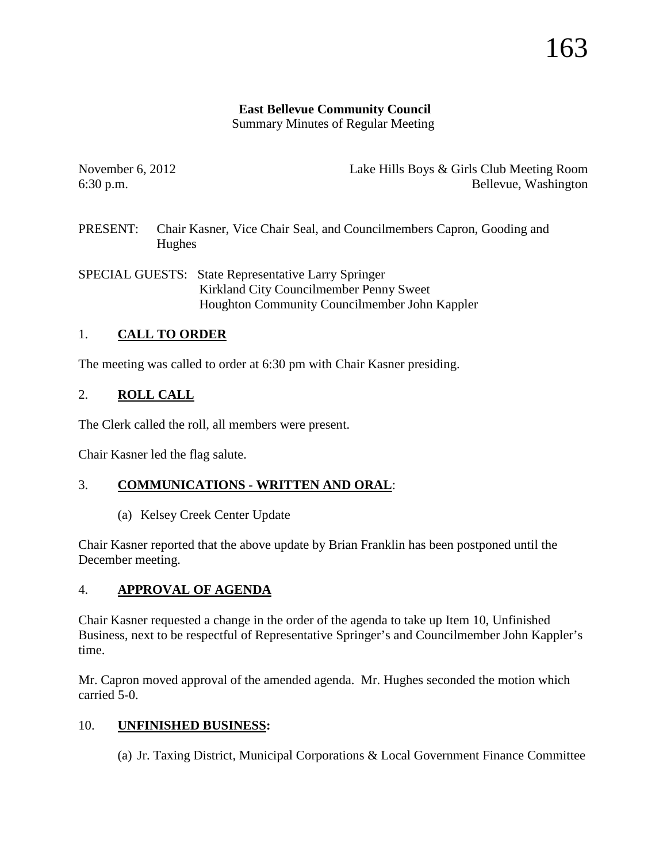## **East Bellevue Community Council**

Summary Minutes of Regular Meeting

November 6, 2012 Lake Hills Boys & Girls Club Meeting Room 6:30 p.m. Bellevue, Washington

PRESENT: Chair Kasner, Vice Chair Seal, and Councilmembers Capron, Gooding and Hughes

SPECIAL GUESTS: State Representative Larry Springer Kirkland City Councilmember Penny Sweet Houghton Community Councilmember John Kappler

# 1. **CALL TO ORDER**

The meeting was called to order at 6:30 pm with Chair Kasner presiding.

# 2. **ROLL CALL**

The Clerk called the roll, all members were present.

Chair Kasner led the flag salute.

## 3. **COMMUNICATIONS - WRITTEN AND ORAL**:

(a) Kelsey Creek Center Update

Chair Kasner reported that the above update by Brian Franklin has been postponed until the December meeting.

## 4. **APPROVAL OF AGENDA**

Chair Kasner requested a change in the order of the agenda to take up Item 10, Unfinished Business, next to be respectful of Representative Springer's and Councilmember John Kappler's time.

Mr. Capron moved approval of the amended agenda. Mr. Hughes seconded the motion which carried 5-0.

## 10. **UNFINISHED BUSINESS:**

(a) Jr. Taxing District, Municipal Corporations & Local Government Finance Committee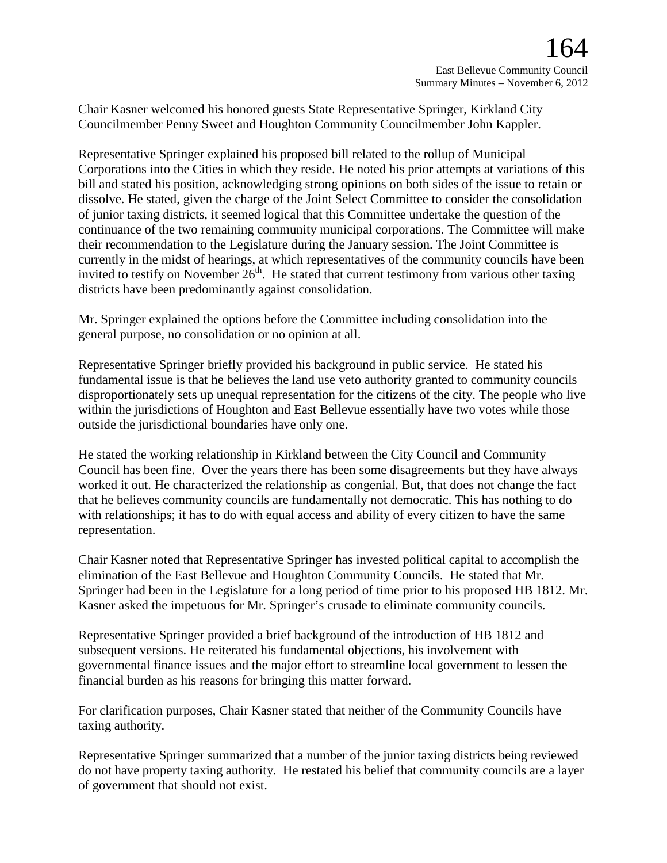Chair Kasner welcomed his honored guests State Representative Springer, Kirkland City Councilmember Penny Sweet and Houghton Community Councilmember John Kappler.

Representative Springer explained his proposed bill related to the rollup of Municipal Corporations into the Cities in which they reside. He noted his prior attempts at variations of this bill and stated his position, acknowledging strong opinions on both sides of the issue to retain or dissolve. He stated, given the charge of the Joint Select Committee to consider the consolidation of junior taxing districts, it seemed logical that this Committee undertake the question of the continuance of the two remaining community municipal corporations. The Committee will make their recommendation to the Legislature during the January session. The Joint Committee is currently in the midst of hearings, at which representatives of the community councils have been invited to testify on November  $26<sup>th</sup>$ . He stated that current testimony from various other taxing districts have been predominantly against consolidation.

Mr. Springer explained the options before the Committee including consolidation into the general purpose, no consolidation or no opinion at all.

Representative Springer briefly provided his background in public service. He stated his fundamental issue is that he believes the land use veto authority granted to community councils disproportionately sets up unequal representation for the citizens of the city. The people who live within the jurisdictions of Houghton and East Bellevue essentially have two votes while those outside the jurisdictional boundaries have only one.

He stated the working relationship in Kirkland between the City Council and Community Council has been fine. Over the years there has been some disagreements but they have always worked it out. He characterized the relationship as congenial. But, that does not change the fact that he believes community councils are fundamentally not democratic. This has nothing to do with relationships; it has to do with equal access and ability of every citizen to have the same representation.

Chair Kasner noted that Representative Springer has invested political capital to accomplish the elimination of the East Bellevue and Houghton Community Councils. He stated that Mr. Springer had been in the Legislature for a long period of time prior to his proposed HB 1812. Mr. Kasner asked the impetuous for Mr. Springer's crusade to eliminate community councils.

Representative Springer provided a brief background of the introduction of HB 1812 and subsequent versions. He reiterated his fundamental objections, his involvement with governmental finance issues and the major effort to streamline local government to lessen the financial burden as his reasons for bringing this matter forward.

For clarification purposes, Chair Kasner stated that neither of the Community Councils have taxing authority.

Representative Springer summarized that a number of the junior taxing districts being reviewed do not have property taxing authority. He restated his belief that community councils are a layer of government that should not exist.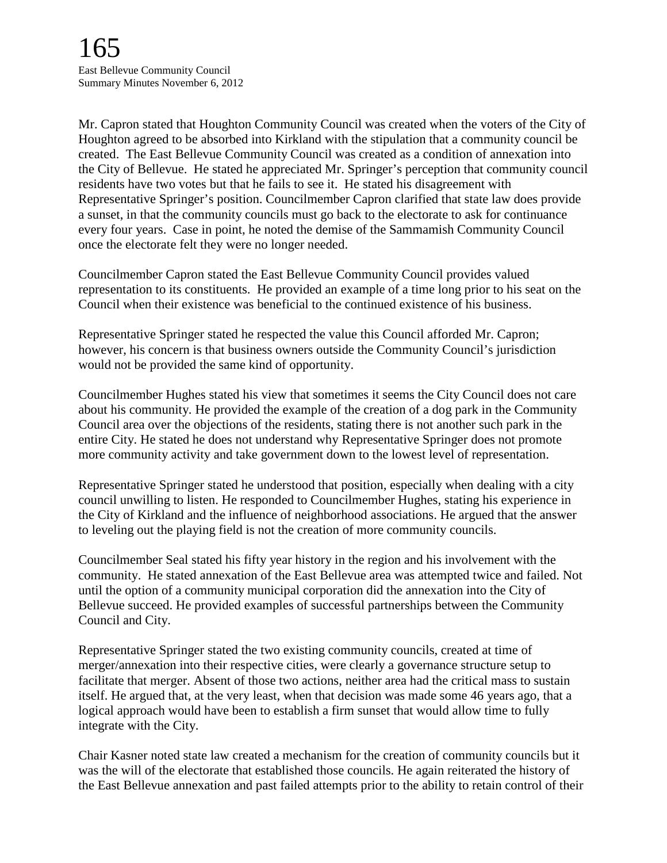Mr. Capron stated that Houghton Community Council was created when the voters of the City of Houghton agreed to be absorbed into Kirkland with the stipulation that a community council be created. The East Bellevue Community Council was created as a condition of annexation into the City of Bellevue. He stated he appreciated Mr. Springer's perception that community council residents have two votes but that he fails to see it. He stated his disagreement with Representative Springer's position. Councilmember Capron clarified that state law does provide a sunset, in that the community councils must go back to the electorate to ask for continuance every four years. Case in point, he noted the demise of the Sammamish Community Council once the electorate felt they were no longer needed.

Councilmember Capron stated the East Bellevue Community Council provides valued representation to its constituents. He provided an example of a time long prior to his seat on the Council when their existence was beneficial to the continued existence of his business.

Representative Springer stated he respected the value this Council afforded Mr. Capron; however, his concern is that business owners outside the Community Council's jurisdiction would not be provided the same kind of opportunity.

Councilmember Hughes stated his view that sometimes it seems the City Council does not care about his community. He provided the example of the creation of a dog park in the Community Council area over the objections of the residents, stating there is not another such park in the entire City. He stated he does not understand why Representative Springer does not promote more community activity and take government down to the lowest level of representation.

Representative Springer stated he understood that position, especially when dealing with a city council unwilling to listen. He responded to Councilmember Hughes, stating his experience in the City of Kirkland and the influence of neighborhood associations. He argued that the answer to leveling out the playing field is not the creation of more community councils.

Councilmember Seal stated his fifty year history in the region and his involvement with the community. He stated annexation of the East Bellevue area was attempted twice and failed. Not until the option of a community municipal corporation did the annexation into the City of Bellevue succeed. He provided examples of successful partnerships between the Community Council and City.

Representative Springer stated the two existing community councils, created at time of merger/annexation into their respective cities, were clearly a governance structure setup to facilitate that merger. Absent of those two actions, neither area had the critical mass to sustain itself. He argued that, at the very least, when that decision was made some 46 years ago, that a logical approach would have been to establish a firm sunset that would allow time to fully integrate with the City.

Chair Kasner noted state law created a mechanism for the creation of community councils but it was the will of the electorate that established those councils. He again reiterated the history of the East Bellevue annexation and past failed attempts prior to the ability to retain control of their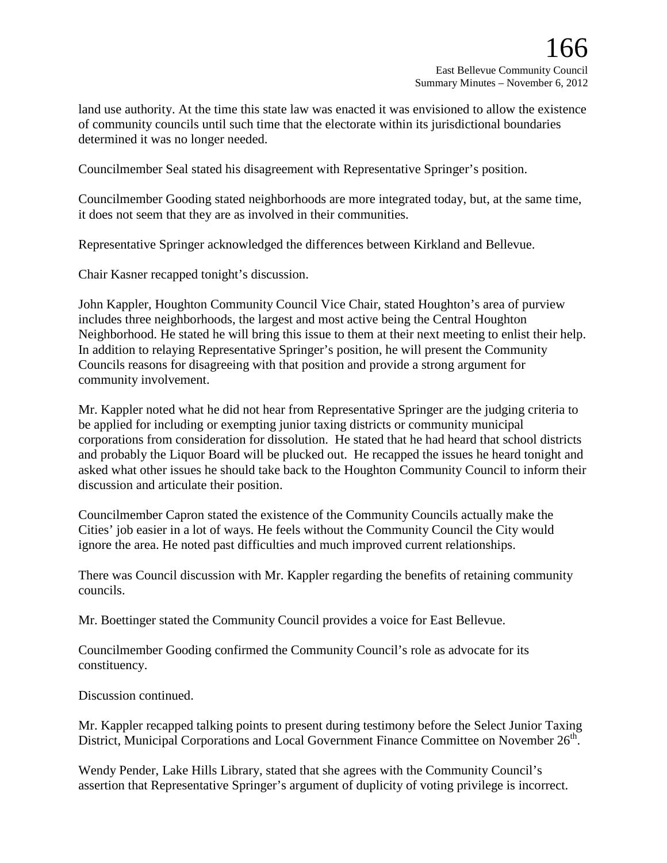land use authority. At the time this state law was enacted it was envisioned to allow the existence of community councils until such time that the electorate within its jurisdictional boundaries determined it was no longer needed.

Councilmember Seal stated his disagreement with Representative Springer's position.

Councilmember Gooding stated neighborhoods are more integrated today, but, at the same time, it does not seem that they are as involved in their communities.

Representative Springer acknowledged the differences between Kirkland and Bellevue.

Chair Kasner recapped tonight's discussion.

John Kappler, Houghton Community Council Vice Chair, stated Houghton's area of purview includes three neighborhoods, the largest and most active being the Central Houghton Neighborhood. He stated he will bring this issue to them at their next meeting to enlist their help. In addition to relaying Representative Springer's position, he will present the Community Councils reasons for disagreeing with that position and provide a strong argument for community involvement.

Mr. Kappler noted what he did not hear from Representative Springer are the judging criteria to be applied for including or exempting junior taxing districts or community municipal corporations from consideration for dissolution. He stated that he had heard that school districts and probably the Liquor Board will be plucked out. He recapped the issues he heard tonight and asked what other issues he should take back to the Houghton Community Council to inform their discussion and articulate their position.

Councilmember Capron stated the existence of the Community Councils actually make the Cities' job easier in a lot of ways. He feels without the Community Council the City would ignore the area. He noted past difficulties and much improved current relationships.

There was Council discussion with Mr. Kappler regarding the benefits of retaining community councils.

Mr. Boettinger stated the Community Council provides a voice for East Bellevue.

Councilmember Gooding confirmed the Community Council's role as advocate for its constituency.

Discussion continued.

Mr. Kappler recapped talking points to present during testimony before the Select Junior Taxing District, Municipal Corporations and Local Government Finance Committee on November 26<sup>th</sup>.

Wendy Pender, Lake Hills Library, stated that she agrees with the Community Council's assertion that Representative Springer's argument of duplicity of voting privilege is incorrect.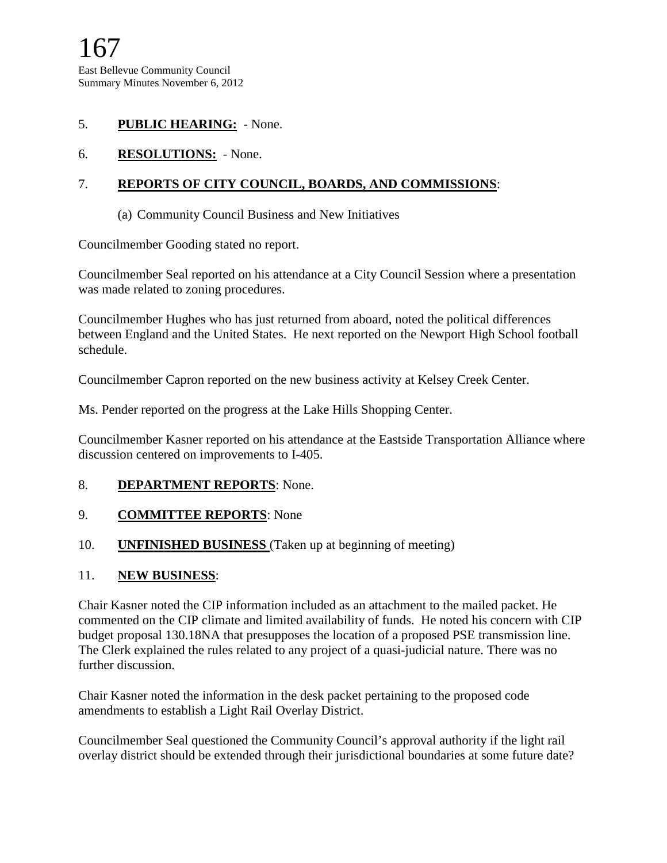### 5. **PUBLIC HEARING:** - None.

6. **RESOLUTIONS:** - None.

### 7. **REPORTS OF CITY COUNCIL, BOARDS, AND COMMISSIONS**:

(a) Community Council Business and New Initiatives

Councilmember Gooding stated no report.

Councilmember Seal reported on his attendance at a City Council Session where a presentation was made related to zoning procedures.

Councilmember Hughes who has just returned from aboard, noted the political differences between England and the United States. He next reported on the Newport High School football schedule.

Councilmember Capron reported on the new business activity at Kelsey Creek Center.

Ms. Pender reported on the progress at the Lake Hills Shopping Center.

Councilmember Kasner reported on his attendance at the Eastside Transportation Alliance where discussion centered on improvements to I-405.

#### 8. **DEPARTMENT REPORTS**: None.

#### 9. **COMMITTEE REPORTS**: None

#### 10. **UNFINISHED BUSINESS** (Taken up at beginning of meeting)

#### 11. **NEW BUSINESS**:

Chair Kasner noted the CIP information included as an attachment to the mailed packet. He commented on the CIP climate and limited availability of funds. He noted his concern with CIP budget proposal 130.18NA that presupposes the location of a proposed PSE transmission line. The Clerk explained the rules related to any project of a quasi-judicial nature. There was no further discussion.

Chair Kasner noted the information in the desk packet pertaining to the proposed code amendments to establish a Light Rail Overlay District.

Councilmember Seal questioned the Community Council's approval authority if the light rail overlay district should be extended through their jurisdictional boundaries at some future date?